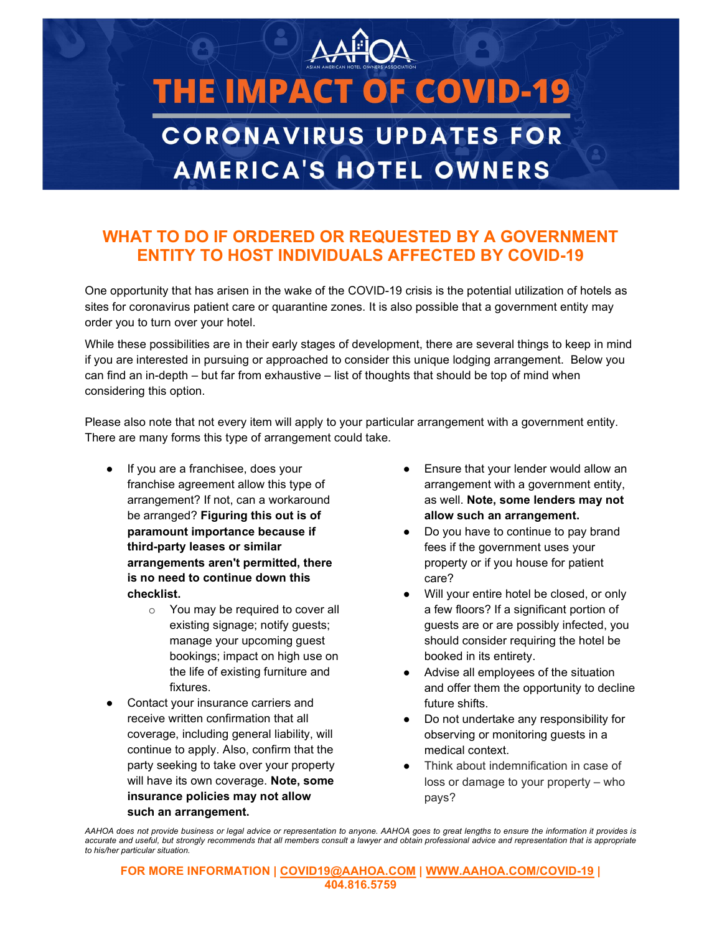## **THE IMPACT OF COVID-19 CORONAVIRUS UPDATES FOR AMERICA'S HOTEL OWNERS**

## WHAT TO DO IF ORDERED OR REQUESTED BY A GOVERNMENT ENTITY TO HOST INDIVIDUALS AFFECTED BY COVID-19

One opportunity that has arisen in the wake of the COVID-19 crisis is the potential utilization of hotels as sites for coronavirus patient care or quarantine zones. It is also possible that a government entity may order you to turn over your hotel.

While these possibilities are in their early stages of development, there are several things to keep in mind if you are interested in pursuing or approached to consider this unique lodging arrangement. Below you can find an in-depth – but far from exhaustive – list of thoughts that should be top of mind when considering this option.

Please also note that not every item will apply to your particular arrangement with a government entity. There are many forms this type of arrangement could take.

- If you are a franchisee, does your franchise agreement allow this type of arrangement? If not, can a workaround be arranged? Figuring this out is of paramount importance because if third-party leases or similar arrangements aren't permitted, there is no need to continue down this checklist.
	- o You may be required to cover all existing signage; notify guests; manage your upcoming guest bookings; impact on high use on the life of existing furniture and fixtures.
- Contact your insurance carriers and receive written confirmation that all coverage, including general liability, will continue to apply. Also, confirm that the party seeking to take over your property will have its own coverage. Note, some insurance policies may not allow such an arrangement.
- Ensure that your lender would allow an arrangement with a government entity, as well. Note, some lenders may not allow such an arrangement.
- Do you have to continue to pay brand fees if the government uses your property or if you house for patient care?
- Will your entire hotel be closed, or only a few floors? If a significant portion of guests are or are possibly infected, you should consider requiring the hotel be booked in its entirety.
- Advise all employees of the situation and offer them the opportunity to decline future shifts.
- Do not undertake any responsibility for observing or monitoring guests in a medical context.
- Think about indemnification in case of loss or damage to your property – who pays?

AAHOA does not provide business or legal advice or representation to anyone. AAHOA goes to great lengths to ensure the information it provides is accurate and useful, but strongly recommends that all members consult a lawyer and obtain professional advice and representation that is appropriate to his/her particular situation.